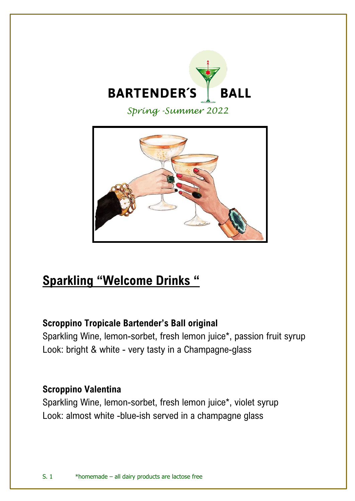

*Spring -Summer 2022*



# **Sparkling "Welcome Drinks "**

# **Scroppino Tropicale Bartender's Ball original**

Sparkling Wine, lemon-sorbet, fresh lemon juice\*, passion fruit syrup Look: bright & white - very tasty in a Champagne-glass

## **Scroppino Valentina**

Sparkling Wine, lemon-sorbet, fresh lemon juice\*, violet syrup Look: almost white -blue-ish served in a champagne glass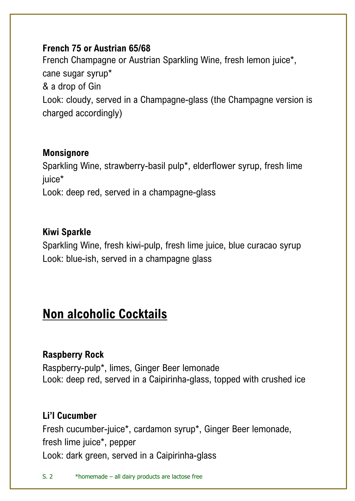#### **French 75 or Austrian 65/68**

French Champagne or Austrian Sparkling Wine, fresh lemon juice\*, cane sugar syrup\* & a drop of Gin Look: cloudy, served in a Champagne-glass (the Champagne version is charged accordingly)

#### **Monsignore**

Sparkling Wine, strawberry-basil pulp\*, elderflower syrup, fresh lime juice\* Look: deep red, served in a champagne-glass

#### **Kiwi Sparkle**

Sparkling Wine, fresh kiwi-pulp, fresh lime juice, blue curacao syrup Look: blue-ish, served in a champagne glass

# **Non alcoholic Cocktails**

## **Raspberry Rock**

Raspberry-pulp\*, limes, Ginger Beer lemonade Look: deep red, served in a Caipirinha-glass, topped with crushed ice

## **Li'l Cucumber**

Fresh cucumber-juice\*, cardamon syrup\*, Ginger Beer lemonade, fresh lime juice\*, pepper Look: dark green, served in a Caipirinha-glass

S. 2 \*homemade – all dairy products are lactose free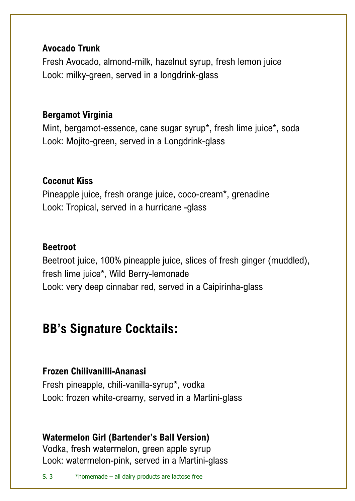#### **Avocado Trunk**

Fresh Avocado, almond-milk, hazelnut syrup, fresh lemon juice Look: milky-green, served in a longdrink-glass

## **Bergamot Virginia**

Mint, bergamot-essence, cane sugar syrup\*, fresh lime juice\*, soda Look: Mojito-green, served in a Longdrink-glass

# **Coconut Kiss**

Pineapple juice, fresh orange juice, coco-cream\*, grenadine Look: Tropical, served in a hurricane -glass

## **Beetroot**

Beetroot juice, 100% pineapple juice, slices of fresh ginger (muddled), fresh lime juice\*, Wild Berry-lemonade Look: very deep cinnabar red, served in a Caipirinha-glass

# **BB's Signature Cocktails:**

## **Frozen Chilivanilli-Ananasi**

Fresh pineapple, chili-vanilla-syrup\*, vodka Look: frozen white-creamy, served in a Martini-glass

# **Watermelon Girl (Bartender's Ball Version)**

Vodka, fresh watermelon, green apple syrup Look: watermelon-pink, served in a Martini-glass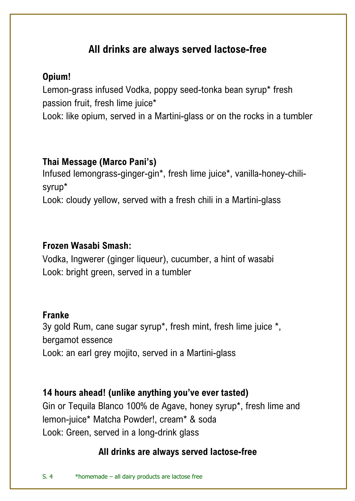# **All drinks are always served lactose-free**

#### **Opium!**

Lemon-grass infused Vodka, poppy seed-tonka bean syrup\* fresh passion fruit, fresh lime juice\* Look: like opium, served in a Martini-glass or on the rocks in a tumbler

## **Thai Message (Marco Pani's)**

Infused lemongrass-ginger-gin\*, fresh lime juice\*, vanilla-honey-chilisyrup\*

Look: cloudy yellow, served with a fresh chili in a Martini-glass

#### **Frozen Wasabi Smash:**

Vodka, Ingwerer (ginger liqueur), cucumber, a hint of wasabi Look: bright green, served in a tumbler

#### **Franke**

3y gold Rum, cane sugar syrup\*, fresh mint, fresh lime juice \*, bergamot essence

Look: an earl grey mojito, served in a Martini-glass

**14 hours ahead! (unlike anything you've ever tasted)** Gin or Tequila Blanco 100% de Agave, honey syrup\*, fresh lime and lemon-juice\* Matcha Powder!, cream\* & soda Look: Green, served in a long-drink glass

# **All drinks are always served lactose-free**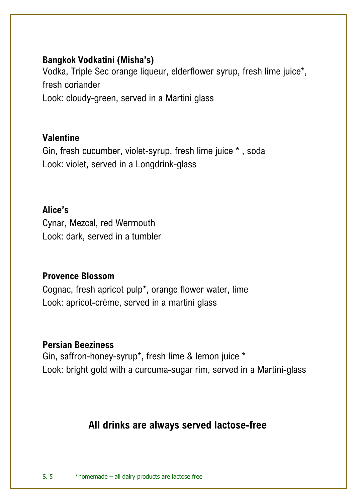#### **Bangkok Vodkatini (Misha's)**

Vodka, Triple Sec orange liqueur, elderflower syrup, fresh lime juice\*, fresh coriander

Look: cloudy-green, served in a Martini glass

#### **Valentine**

Gin, fresh cucumber, violet-syrup, fresh lime juice \* , soda Look: violet, served in a Longdrink-glass

**Alice's** Cynar, Mezcal, red Wermouth Look: dark, served in a tumbler

#### **Provence Blossom**

Cognac, fresh apricot pulp\*, orange flower water, lime Look: apricot-crème, served in a martini glass

#### **Persian Beeziness**

Gin, saffron-honey-syrup\*, fresh lime & lemon juice \* Look: bright gold with a curcuma-sugar rim, served in a Martini-glass

# **All drinks are always served lactose-free**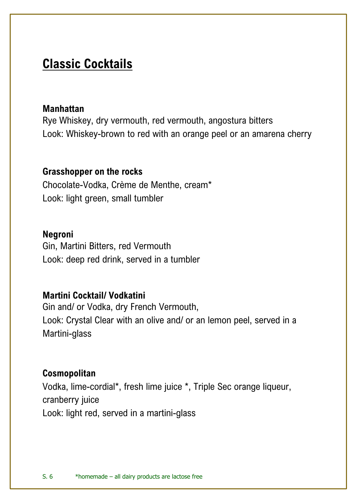# **Classic Cocktails**

#### **Manhattan**

Rye Whiskey, dry vermouth, red vermouth, angostura bitters Look: Whiskey-brown to red with an orange peel or an amarena cherry

#### **Grasshopper on the rocks**

Chocolate-Vodka, Crème de Menthe, cream\* Look: light green, small tumbler

#### **Negroni**

Gin, Martini Bitters, red Vermouth Look: deep red drink, served in a tumbler

#### **Martini Cocktail/ Vodkatini**

Gin and/ or Vodka, dry French Vermouth, Look: Crystal Clear with an olive and/ or an lemon peel, served in a Martini-glass

#### **Cosmopolitan**

Vodka, lime-cordial\*, fresh lime juice \*, Triple Sec orange liqueur, cranberry juice Look: light red, served in a martini-glass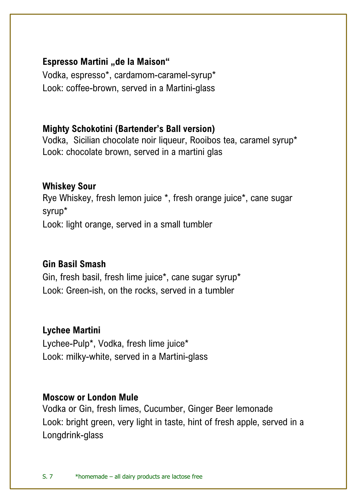## **Espresso Martini "de la Maison"**

Vodka, espresso\*, cardamom-caramel-syrup\* Look: coffee-brown, served in a Martini-glass

# **Mighty Schokotini (Bartender's Ball version)**

Vodka, Sicilian chocolate noir liqueur, Rooibos tea, caramel syrup\* Look: chocolate brown, served in a martini glas

# **Whiskey Sour**

Rye Whiskey, fresh lemon juice \*, fresh orange juice\*, cane sugar syrup\* Look: light orange, served in a small tumbler

## **Gin Basil Smash**

Gin, fresh basil, fresh lime juice\*, cane sugar syrup\* Look: Green-ish, on the rocks, served in a tumbler

## **Lychee Martini**

Lychee-Pulp\*, Vodka, fresh lime juice\* Look: milky-white, served in a Martini-glass

#### **Moscow or London Mule**

Vodka or Gin, fresh limes, Cucumber, Ginger Beer lemonade Look: bright green, very light in taste, hint of fresh apple, served in a Longdrink-glass